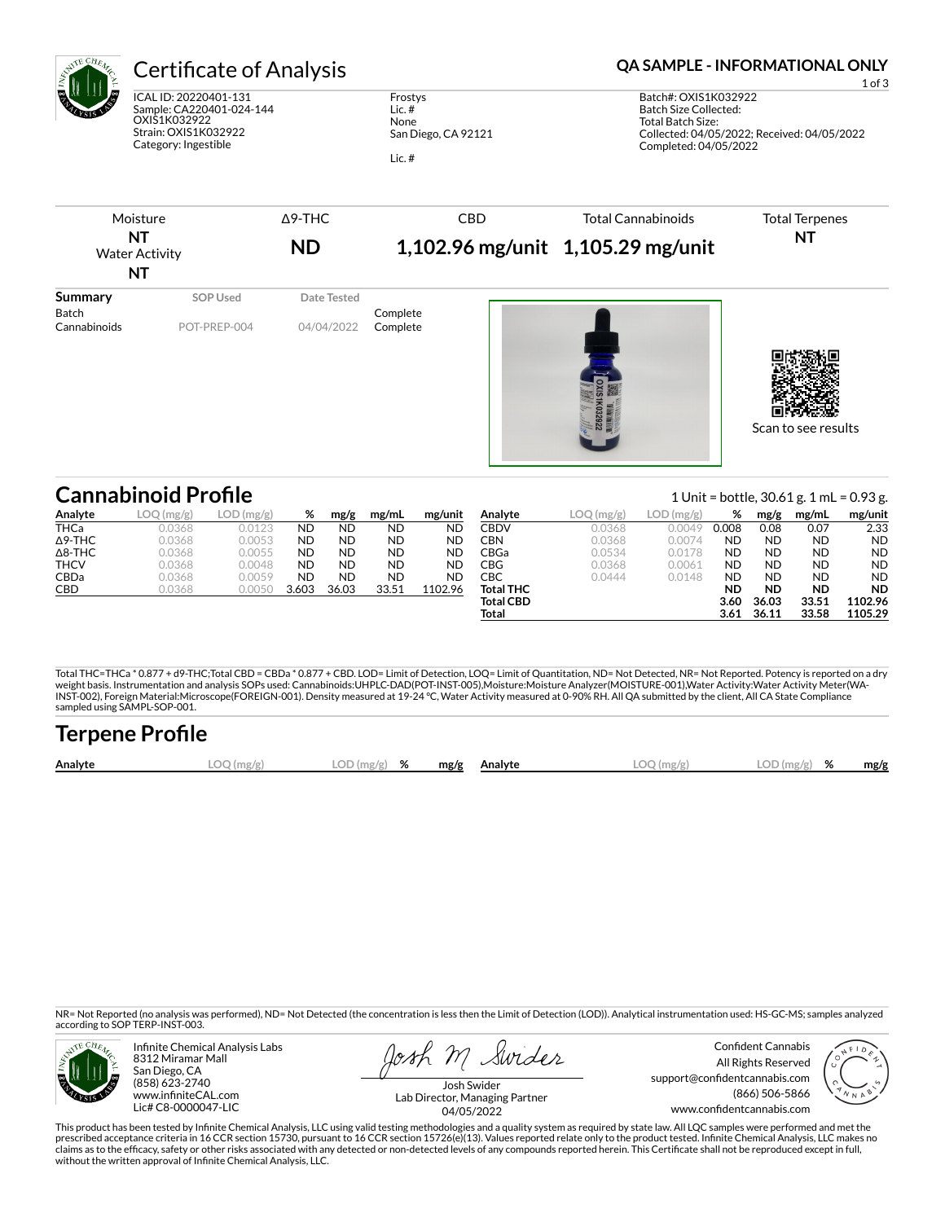

ICAL ID: 20220401-131 Sample: CA220401-024-144 OXIS1K032922 Strain: OXIS1K032922 Category: Ingestible

Frostys Lic. # None San Diego, CA 92121 Lic. #

Certificate of Analysis **Certificate of Analysis QA SAMPLE - INFORMATIONAL ONLY** 

1 of 3 Batch#: OXIS1K032922 Batch Size Collected: Total Batch Size: Collected: 04/05/2022; Received: 04/05/2022 Completed: 04/05/2022

| Moisture<br>NT<br><b>Water Activity</b><br>NT |                            | $\Delta$ 9-THC | <b>CBD</b>           | <b>Total Cannabinoids</b>         | <b>Total Terpenes</b>                    |  |
|-----------------------------------------------|----------------------------|----------------|----------------------|-----------------------------------|------------------------------------------|--|
|                                               |                            | <b>ND</b>      |                      | 1,102.96 mg/unit 1,105.29 mg/unit | NT                                       |  |
| <b>Summary</b>                                | SOP Used                   | Date Tested    |                      |                                   |                                          |  |
| <b>Batch</b><br>Cannabinoids                  | POT-PREP-004               | 04/04/2022     | Complete<br>Complete |                                   | Scan to see results                      |  |
|                                               | <b>Cannabinoid Profile</b> |                |                      |                                   | 1 Unit = bottle, 30.61 g. 1 mL = 0.93 g. |  |

| Analyte        | LOG(mg/g) | LOD (mg/g) | %         | mg/g      | mg/mL     | mg/unit   | Analyte          | LOQ(mg/g) | LOD<br>(mg/g) | %         | mg/g      | mg/mL     | mg/unit   |
|----------------|-----------|------------|-----------|-----------|-----------|-----------|------------------|-----------|---------------|-----------|-----------|-----------|-----------|
| <b>THCa</b>    | 0.0368    | 0.0123     | <b>ND</b> | <b>ND</b> | <b>ND</b> | <b>ND</b> | <b>CBDV</b>      | 0.0368    | 0.0049        | 0.008     | 0.08      | 0.07      | 2.33      |
| $\Delta$ 9-THC | 0.0368    | 0.0053     | <b>ND</b> | <b>ND</b> | <b>ND</b> | <b>ND</b> | CBN              | 0.0368    | 0.0074        | <b>ND</b> | <b>ND</b> | <b>ND</b> | <b>ND</b> |
| $\Delta$ 8-THC | 0.0368    | 0.0055     | <b>ND</b> | <b>ND</b> | <b>ND</b> | <b>ND</b> | CBGa             | 0.0534    | 0.0178        | <b>ND</b> | <b>ND</b> | <b>ND</b> | <b>ND</b> |
| <b>THCV</b>    | 0.0368    | 0.0048     | <b>ND</b> | <b>ND</b> | <b>ND</b> | <b>ND</b> | CBG              | 0.0368    | 0.0061        | <b>ND</b> | <b>ND</b> | <b>ND</b> | <b>ND</b> |
| <b>CBDa</b>    | 0.0368    | 0.0059     | <b>ND</b> | <b>ND</b> | <b>ND</b> | <b>ND</b> | СВС              | 0.0444    | 0.0148        | <b>ND</b> | <b>ND</b> | <b>ND</b> | <b>ND</b> |
| CBD            | 0.0368    | 0.0050     | 3.603     | 36.03     | 33.51     | 1102.96   | Total THC        |           |               | <b>ND</b> | <b>ND</b> | <b>ND</b> | <b>ND</b> |
|                |           |            |           |           |           |           | <b>Total CBD</b> |           |               | 3.60      | 36.03     | 33.51     | 1102.96   |
|                |           |            |           |           |           |           | Total            |           |               | 3.61      | 36.11     | 33.58     | 1105.29   |

Total THC=THCa \* 0.877 + d9-THC;Total CBD = CBDa \* 0.877 + CBD. LOD= Limit of Detection, LOQ= Limit of Quantitation, ND= Not Detected, NR= Not Reported. Potency is reported on a dry<br>weight basis. Instrumentation and analys INST-002), Foreign Material:Microscope(FOREIGN-001). Density measured at 19-24 °C, Water Activity measured at 0-90% RH. All QA submitted by the client, All CA State Compliance sampled using SAMPL-SOP-001.

| <b>Terpene Profile</b> |           |               |  |              |              |               |      |
|------------------------|-----------|---------------|--|--------------|--------------|---------------|------|
| Analyte                | LOO(mg/g) | $LOD(mg/g)$ % |  | mg/g Analyte | $LOO$ (mg/g) | $LOD(mg/g)$ % | mg/g |

NR= Not Reported (no analysis was performed), ND= Not Detected (the concentration is less then the Limit of Detection (LOD)). Analytical instrumentation used: HS-GC-MS; samples analyzed according to SOP TERP-INST-003.



Infinite Chemical Analysis Labs 8312 Miramar Mall San Diego, CA (858) 623-2740 www.infiniteCAL.com Lic# C8-0000047-LIC

osh M Swider

Confident Cannabis All Rights Reserved support@confidentcannabis.com (866) 506-5866 www.confidentcannabis.com



Josh Swider Lab Director, Managing Partner 04/05/2022

This product has been tested by Infinite Chemical Analysis, LLC using valid testing methodologies and a quality system as required by state law. All LQC samples were performed and met the prescribed acceptance criteria in 16 CCR section 15730, pursuant to 16 CCR section 15726(e)(13). Values reported relate only to the product tested. Infinite Chemical Analysis, LLC makes no<br>claims as to the efficacy, safety without the written approval of Infinite Chemical Analysis, LLC.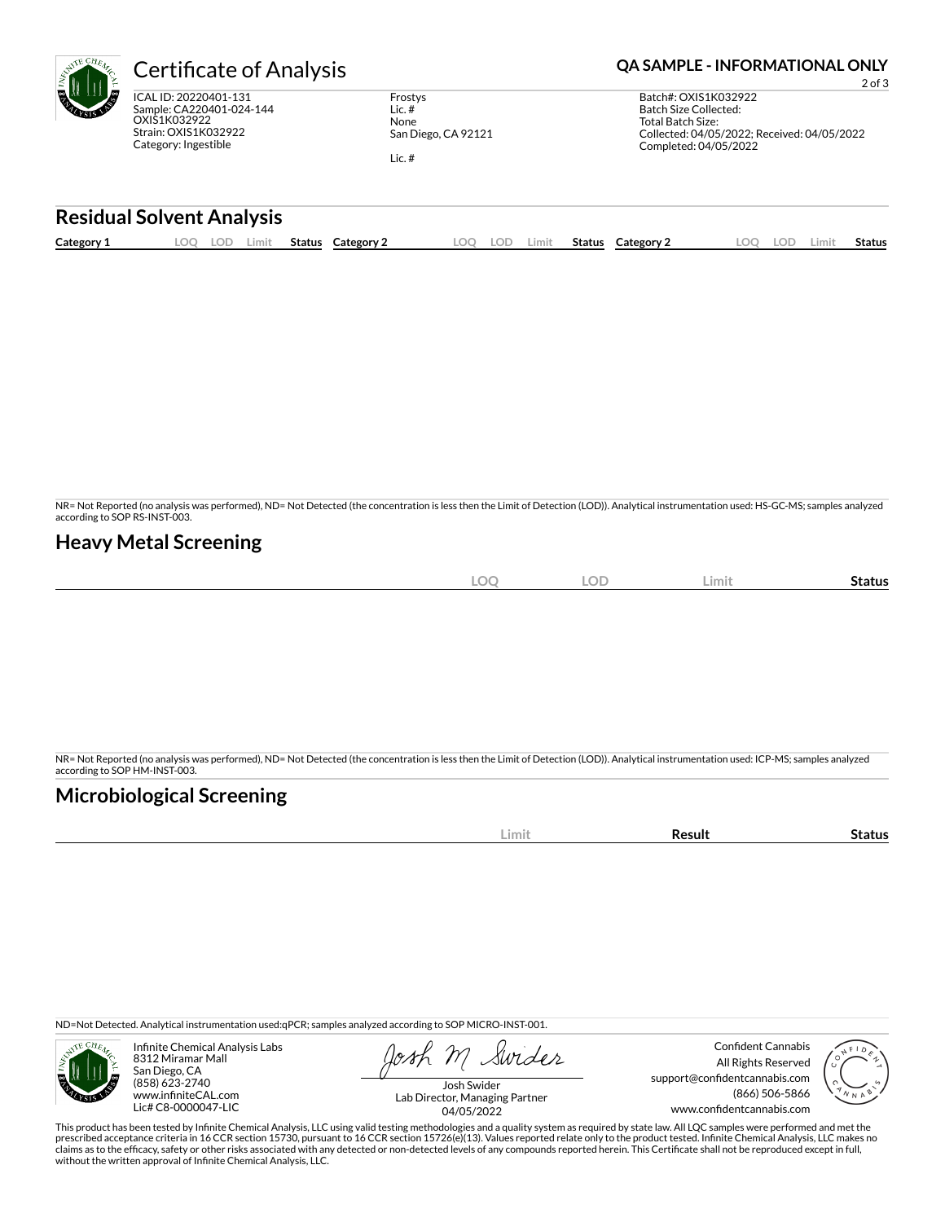| Æ | Certificate          |
|---|----------------------|
|   | ICAL ID: 20220401-13 |
|   | Sample: CA220401-02  |
|   | OXIS1K032922         |
|   | Strain: OXIS1K032922 |

 $\overline{01-131}$ 01-024-144

Frostys Lic. # None San Diego, CA 92121

Lic. #

# te of Analysis **Company of Analysis and Analysis Company QA SAMPLE - INFORMATIONAL ONLY**

2 of 3 Batch#: OXIS1K032922 Batch Size Collected: Total Batch Size: Collected: 04/05/2022; Received: 04/05/2022 Completed: 04/05/2022

### **Residual Solvent Analysis**

Category: Ingestible

|  | Category: | ~~<br>J. | Limit | <b>Status</b> | Category | OC | LOD | Limit. | Status | Category $\angle$ | $\sim$ | LOD. | Limi | . .<br>Status |
|--|-----------|----------|-------|---------------|----------|----|-----|--------|--------|-------------------|--------|------|------|---------------|
|--|-----------|----------|-------|---------------|----------|----|-----|--------|--------|-------------------|--------|------|------|---------------|

NR= Not Reported (no analysis was performed), ND= Not Detected (the concentration is less then the Limit of Detection (LOD)). Analytical instrumentation used: HS-GC-MS; samples analyzed according to SOP RS-INST-003.

## **Heavy Metal Screening**

| <b>LOC</b> | <b>LOD</b> | Limit | -<br>Status |
|------------|------------|-------|-------------|
|            |            |       |             |

NR= Not Reported (no analysis was performed), ND= Not Detected (the concentration is less then the Limit of Detection (LOD)). Analytical instrumentation used: ICP-MS; samples analyzed according to SOP HM-INST-003.

# **Microbiological Screening**

|--|

ND=Not Detected. Analytical instrumentation used:qPCR; samples analyzed according to SOP MICRO-INST-001.



Infinite Chemical Analysis Labs 8312 Miramar Mall San Diego, CA (858) 623-2740 www.infiniteCAL.com Lic# C8-0000047-LIC

Swider

Confident Cannabis All Rights Reserved support@confidentcannabis.com (866) 506-5866 www.confidentcannabis.com



Josh Swider Lab Director, Managing Partner 04/05/2022

This product has been tested by Infinite Chemical Analysis, LLC using valid testing methodologies and a quality system as required by state law. All LQC samples were performed and met the prescribed acceptance criteria in 16 CCR section 15730, pursuant to 16 CCR section 15726(e)(13). Values reported relate only to the product tested. Infinite Chemical Analysis, LLC makes no<br>claims as to the efficacy, safety without the written approval of Infinite Chemical Analysis, LLC.